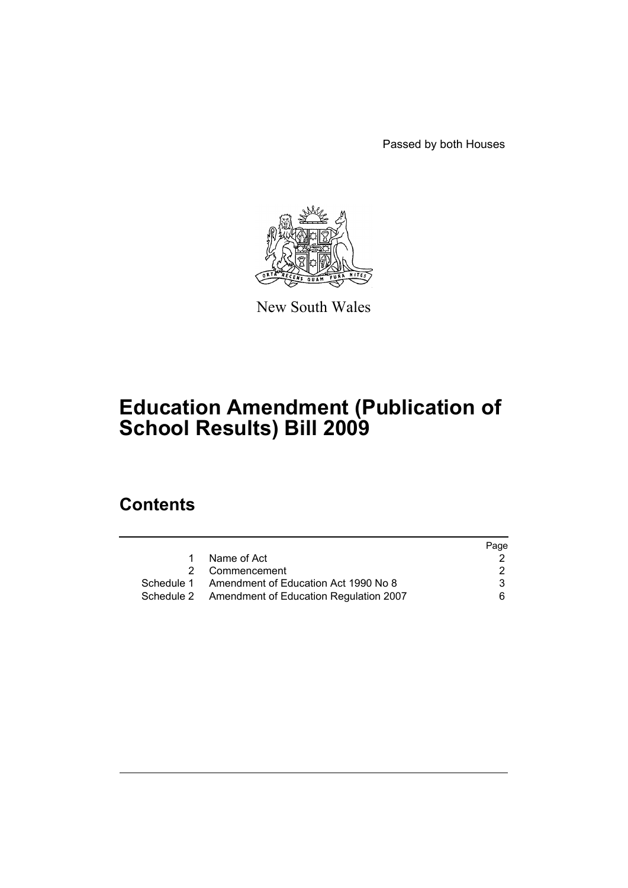Passed by both Houses



New South Wales

# **Education Amendment (Publication of School Results) Bill 2009**

# **Contents**

|                                                   | Page |
|---------------------------------------------------|------|
| Name of Act                                       |      |
| 2 Commencement                                    | 2    |
| Schedule 1 Amendment of Education Act 1990 No 8   | 3    |
| Schedule 2 Amendment of Education Regulation 2007 | 6.   |
|                                                   |      |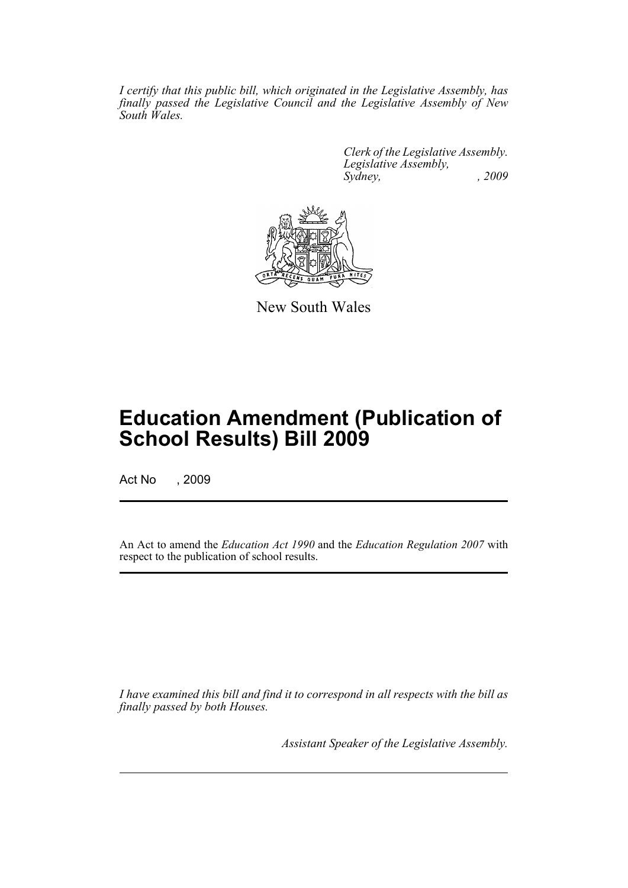*I certify that this public bill, which originated in the Legislative Assembly, has finally passed the Legislative Council and the Legislative Assembly of New South Wales.*

> *Clerk of the Legislative Assembly. Legislative Assembly, Sydney, , 2009*



New South Wales

# **Education Amendment (Publication of School Results) Bill 2009**

Act No , 2009

An Act to amend the *Education Act 1990* and the *Education Regulation 2007* with respect to the publication of school results.

*I have examined this bill and find it to correspond in all respects with the bill as finally passed by both Houses.*

*Assistant Speaker of the Legislative Assembly.*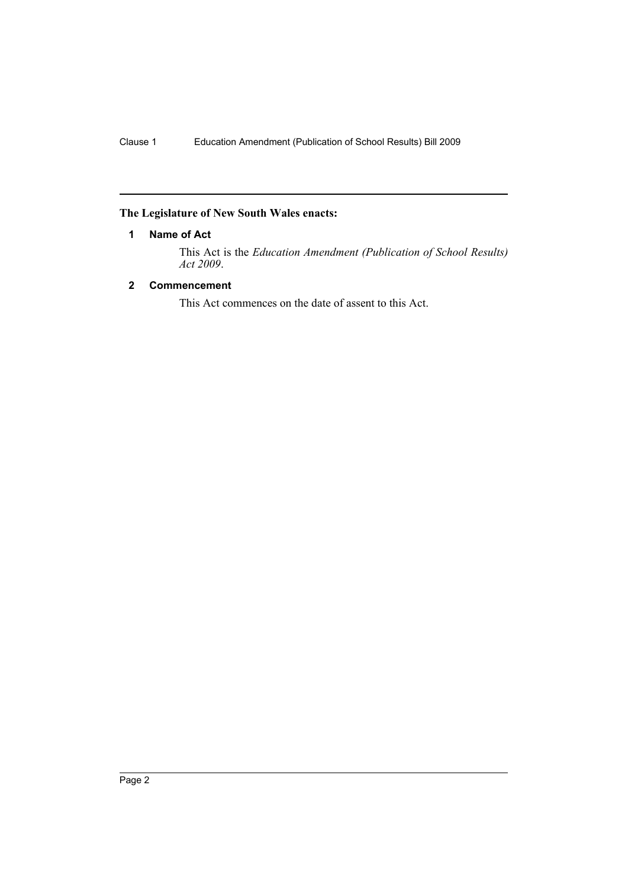# <span id="page-2-0"></span>**The Legislature of New South Wales enacts:**

# **1 Name of Act**

This Act is the *Education Amendment (Publication of School Results) Act 2009*.

# <span id="page-2-1"></span>**2 Commencement**

This Act commences on the date of assent to this Act.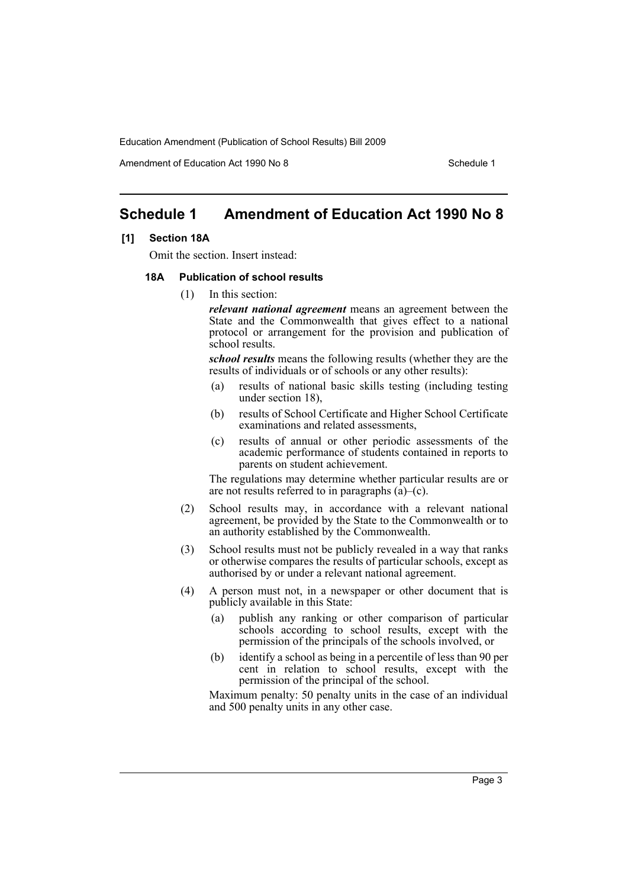Amendment of Education Act 1990 No 8 Schedule 1

# <span id="page-3-0"></span>**Schedule 1 Amendment of Education Act 1990 No 8**

#### **[1] Section 18A**

Omit the section. Insert instead:

#### **18A Publication of school results**

(1) In this section:

*relevant national agreement* means an agreement between the State and the Commonwealth that gives effect to a national protocol or arrangement for the provision and publication of school results.

*school results* means the following results (whether they are the results of individuals or of schools or any other results):

- (a) results of national basic skills testing (including testing under section 18),
- (b) results of School Certificate and Higher School Certificate examinations and related assessments,
- (c) results of annual or other periodic assessments of the academic performance of students contained in reports to parents on student achievement.

The regulations may determine whether particular results are or are not results referred to in paragraphs  $(\hat{a})$ –(c).

- (2) School results may, in accordance with a relevant national agreement, be provided by the State to the Commonwealth or to an authority established by the Commonwealth.
- (3) School results must not be publicly revealed in a way that ranks or otherwise compares the results of particular schools, except as authorised by or under a relevant national agreement.
- (4) A person must not, in a newspaper or other document that is publicly available in this State:
	- (a) publish any ranking or other comparison of particular schools according to school results, except with the permission of the principals of the schools involved, or
	- (b) identify a school as being in a percentile of less than 90 per cent in relation to school results, except with the permission of the principal of the school.

Maximum penalty: 50 penalty units in the case of an individual and 500 penalty units in any other case.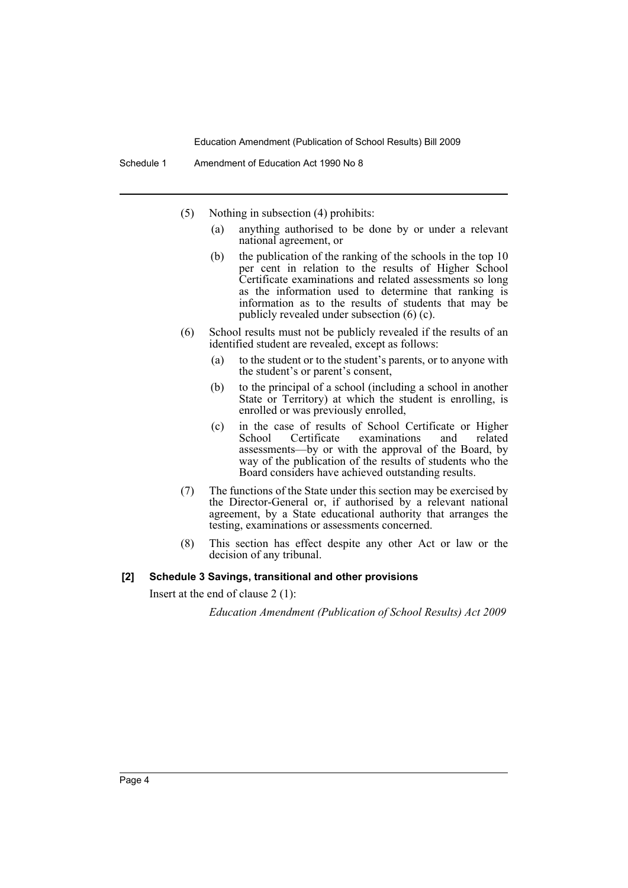- (5) Nothing in subsection (4) prohibits:
	- (a) anything authorised to be done by or under a relevant national agreement, or
	- (b) the publication of the ranking of the schools in the top 10 per cent in relation to the results of Higher School Certificate examinations and related assessments so long as the information used to determine that ranking is information as to the results of students that may be publicly revealed under subsection (6) (c).
- (6) School results must not be publicly revealed if the results of an identified student are revealed, except as follows:
	- (a) to the student or to the student's parents, or to anyone with the student's or parent's consent,
	- (b) to the principal of a school (including a school in another State or Territory) at which the student is enrolling, is enrolled or was previously enrolled,
	- (c) in the case of results of School Certificate or Higher School Certificate examinations and related assessments—by or with the approval of the Board, by way of the publication of the results of students who the Board considers have achieved outstanding results.
- (7) The functions of the State under this section may be exercised by the Director-General or, if authorised by a relevant national agreement, by a State educational authority that arranges the testing, examinations or assessments concerned.
- (8) This section has effect despite any other Act or law or the decision of any tribunal.

#### **[2] Schedule 3 Savings, transitional and other provisions**

Insert at the end of clause 2 (1):

*Education Amendment (Publication of School Results) Act 2009*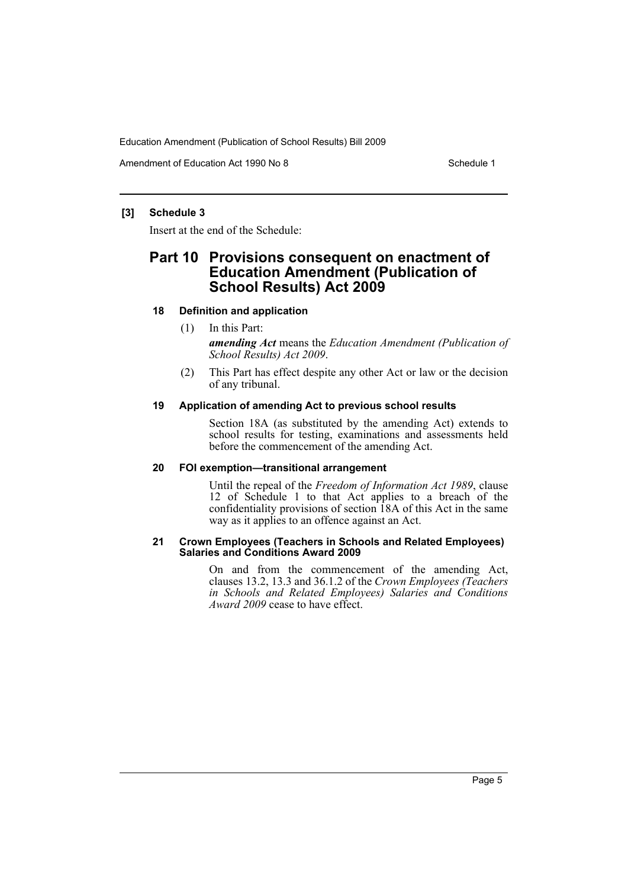Amendment of Education Act 1990 No 8 Schedule 1

# **[3] Schedule 3**

Insert at the end of the Schedule:

# **Part 10 Provisions consequent on enactment of Education Amendment (Publication of School Results) Act 2009**

### **18 Definition and application**

# (1) In this Part:

*amending Act* means the *Education Amendment (Publication of School Results) Act 2009*.

(2) This Part has effect despite any other Act or law or the decision of any tribunal.

### **19 Application of amending Act to previous school results**

Section 18A (as substituted by the amending Act) extends to school results for testing, examinations and assessments held before the commencement of the amending Act.

### **20 FOI exemption—transitional arrangement**

Until the repeal of the *Freedom of Information Act 1989*, clause 12 of Schedule 1 to that Act applies to a breach of the confidentiality provisions of section 18A of this Act in the same way as it applies to an offence against an Act.

#### **21 Crown Employees (Teachers in Schools and Related Employees) Salaries and Conditions Award 2009**

On and from the commencement of the amending Act, clauses 13.2, 13.3 and 36.1.2 of the *Crown Employees (Teachers in Schools and Related Employees) Salaries and Conditions Award 2009* cease to have effect.